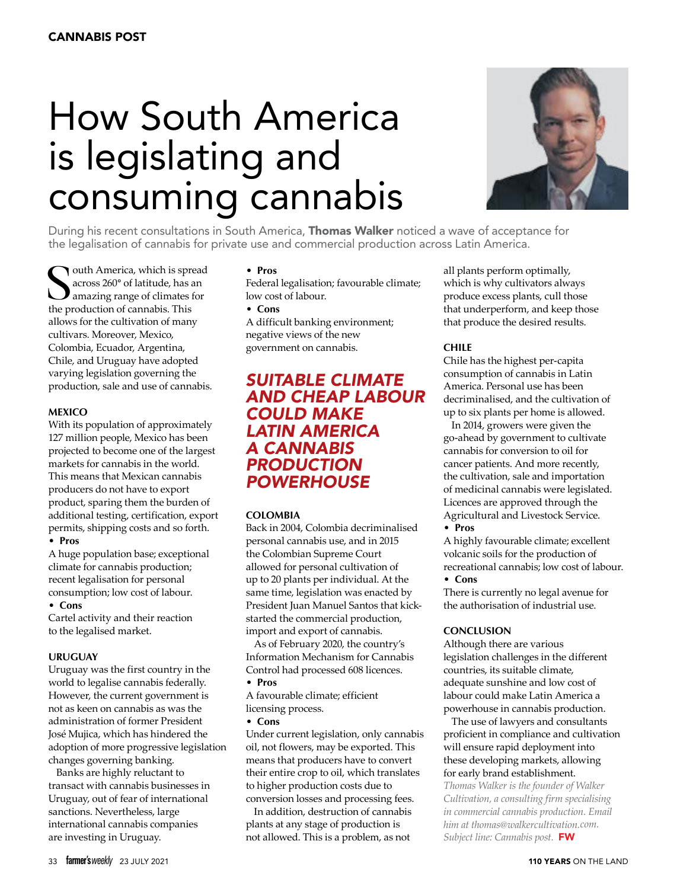# How South America is legislating and consuming cannabis



During his recent consultations in South America, Thomas Walker noticed a wave of acceptance for the legalisation of cannabis for private use and commercial production across Latin America.

South America, which is spreaded across 260° of latitude, has a amazing range of climates the production of cannabis. This outh America, which is spread across 260**°** of latitude, has an amazing range of climates for allows for the cultivation of many cultivars. Moreover, Mexico, Colombia, Ecuador, Argentina, Chile, and Uruguay have adopted varying legislation governing the production, sale and use of cannabis.

#### **Mexico**

With its population of approximately 127 million people, Mexico has been projected to become one of the largest markets for cannabis in the world. This means that Mexican cannabis producers do not have to export product, sparing them the burden of additional testing, certification, export permits, shipping costs and so forth.

#### **• Pros**

A huge population base; exceptional climate for cannabis production; recent legalisation for personal consumption; low cost of labour. **• Cons**

Cartel activity and their reaction to the legalised market.

#### **Uruguay**

Uruguay was the first country in the world to legalise cannabis federally. However, the current government is not as keen on cannabis as was the administration of former President José Mujica, which has hindered the adoption of more progressive legislation changes governing banking.

Banks are highly reluctant to transact with cannabis businesses in Uruguay, out of fear of international sanctions. Nevertheless, large international cannabis companies are investing in Uruguay.

#### **• Pros**

Federal legalisation; favourable climate; low cost of labour.

#### **• Cons**

A difficult banking environment; negative views of the new government on cannabis.

## *suitable climate and cheap labour could make Latin America a cannabis production powerhouse*

#### **Colombia**

Back in 2004, Colombia decriminalised personal cannabis use, and in 2015 the Colombian Supreme Court allowed for personal cultivation of up to 20 plants per individual. At the same time, legislation was enacted by President Juan Manuel Santos that kickstarted the commercial production, import and export of cannabis.

As of February 2020, the country's Information Mechanism for Cannabis Control had processed 608 licences.

### **• Pros**

A favourable climate; efficient licensing process.

#### **• Cons**

Under current legislation, only cannabis oil, not flowers, may be exported. This means that producers have to convert their entire crop to oil, which translates to higher production costs due to conversion losses and processing fees.

In addition, destruction of cannabis plants at any stage of production is not allowed. This is a problem, as not

all plants perform optimally, which is why cultivators always produce excess plants, cull those that underperform, and keep those that produce the desired results.

#### **Chile**

Chile has the highest per-capita consumption of cannabis in Latin America. Personal use has been decriminalised, and the cultivation of up to six plants per home is allowed.

In 2014, growers were given the go-ahead by government to cultivate cannabis for conversion to oil for cancer patients. And more recently, the cultivation, sale and importation of medicinal cannabis were legislated. Licences are approved through the Agricultural and Livestock Service.

#### **• Pros**

A highly favourable climate; excellent volcanic soils for the production of recreational cannabis; low cost of labour.

#### **• Cons**

There is currently no legal avenue for the authorisation of industrial use.

#### **Conclusion**

Although there are various legislation challenges in the different countries, its suitable climate, adequate sunshine and low cost of labour could make Latin America a powerhouse in cannabis production.

The use of lawyers and consultants proficient in compliance and cultivation will ensure rapid deployment into these developing markets, allowing for early brand establishment.

*Thomas Walker is the founder of Walker Cultivation, a consulting firm specialising in commercial cannabis production. Email him at thomas@walkercultivation.com. Subject line: Cannabis post.* FW